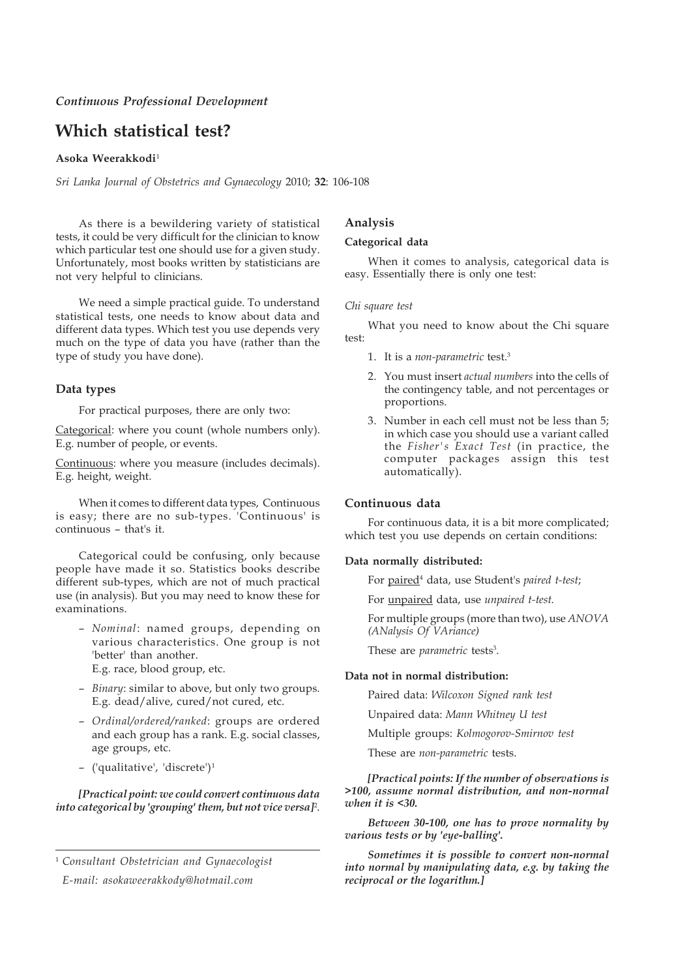# **Which statistical test?**

### **Asoka Weerakkodi**<sup>1</sup>

*Sri Lanka Journal of Obstetrics and Gynaecology* 2010; **32**: 106-108

As there is a bewildering variety of statistical tests, it could be very difficult for the clinician to know which particular test one should use for a given study. Unfortunately, most books written by statisticians are not very helpful to clinicians.

We need a simple practical guide. To understand statistical tests, one needs to know about data and different data types. Which test you use depends very much on the type of data you have (rather than the type of study you have done).

## **Data types**

For practical purposes, there are only two:

Categorical: where you count (whole numbers only). E.g. number of people, or events.

Continuous: where you measure (includes decimals). E.g. height, weight.

When it comes to different data types, Continuous is easy; there are no sub-types. 'Continuous' is continuous – that's it.

Categorical could be confusing, only because people have made it so. Statistics books describe different sub-types, which are not of much practical use (in analysis). But you may need to know these for examinations.

- *Nominal*: named groups, depending on various characteristics. One group is not 'better' than another. E.g. race, blood group, etc.
- *Binary*: similar to above, but only two groups. E.g. dead/alive, cured/not cured, etc.
- *Ordinal/ordered/ranked*: groups are ordered and each group has a rank. E.g. social classes, age groups, etc.
- ('qualitative', 'discrete')1

*[Practical point: we could convert continuous data into categorical by 'grouping' them, but not vice versa]*<sup>2</sup> .

<sup>1</sup> *Consultant Obstetrician and Gynaecologist*

*E-mail: asokaweerakkody@hotmail.com*

# **Analysis**

#### **Categorical data**

When it comes to analysis, categorical data is easy. Essentially there is only one test:

#### *Chi square test*

What you need to know about the Chi square test:

- 1. It is a *non-parametric* test.3
- 2. You must insert *actual numbers* into the cells of the contingency table, and not percentages or proportions.
- 3. Number in each cell must not be less than 5; in which case you should use a variant called the *Fisher's Exact Test* (in practice, the computer packages assign this test automatically).

# **Continuous data**

For continuous data, it is a bit more complicated; which test you use depends on certain conditions:

#### **Data normally distributed:**

For paired<sup>4</sup> data, use Student's *paired t-test*;

For unpaired data, use *unpaired t-test*.

For multiple groups (more than two), use *ANOVA (ANalysis Of VAriance)*

These are *parametric* tests<sup>3</sup>.

#### **Data not in normal distribution:**

Paired data: *Wilcoxon Signed rank test*

Unpaired data: *Mann Whitney U test*

Multiple groups: *Kolmogorov-Smirnov test*

These are *non-parametric* tests.

*[Practical points: If the number of observations is >100, assume normal distribution, and non-normal when it is <30.*

*Between 30-100, one has to prove normality by various tests or by 'eye-balling'.*

*Sometimes it is possible to convert non-normal into normal by manipulating data, e.g. by taking the reciprocal or the logarithm.]*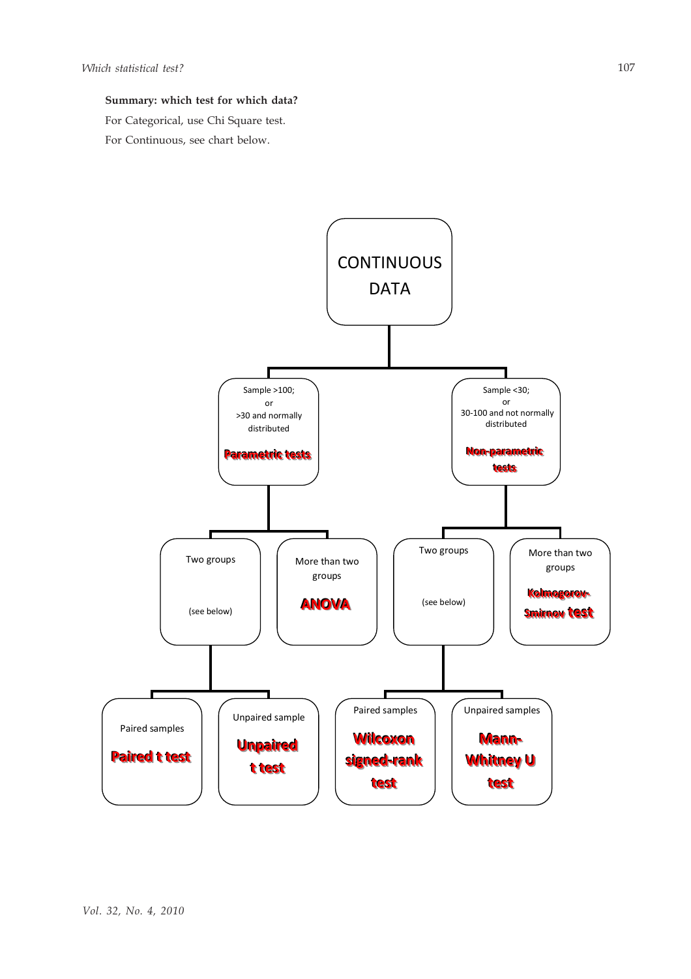# **Summary: which test for which data?**

For Categorical, use Chi Square test.

For Continuous, see chart below.

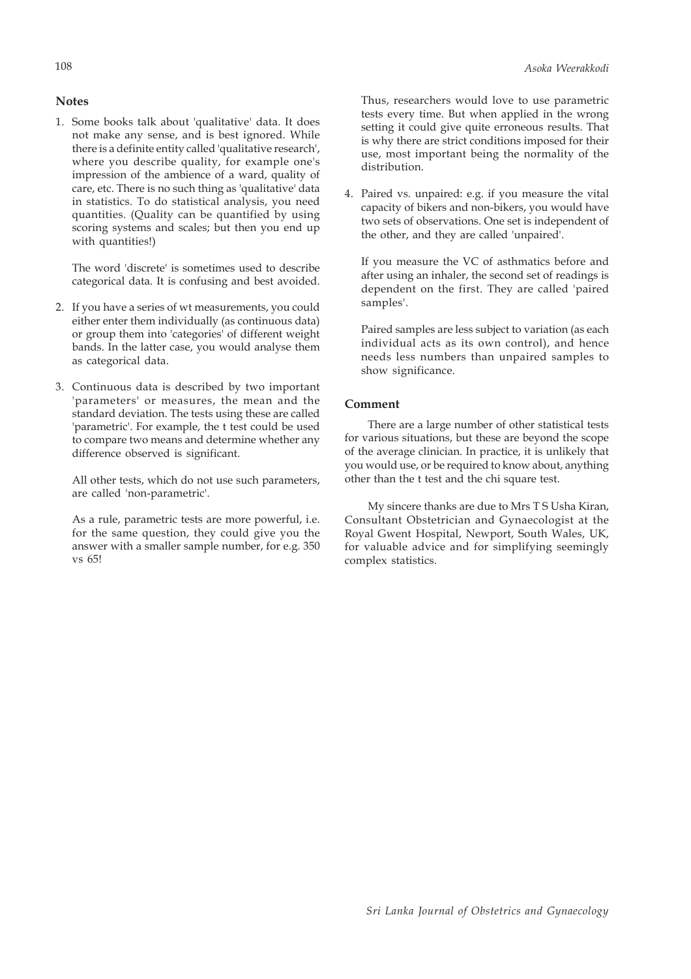# **Notes**

1. Some books talk about 'qualitative' data. It does not make any sense, and is best ignored. While there is a definite entity called 'qualitative research', where you describe quality, for example one's impression of the ambience of a ward, quality of care, etc. There is no such thing as 'qualitative' data in statistics. To do statistical analysis, you need quantities. (Quality can be quantified by using scoring systems and scales; but then you end up with quantities!)

The word 'discrete' is sometimes used to describe categorical data. It is confusing and best avoided.

- 2. If you have a series of wt measurements, you could either enter them individually (as continuous data) or group them into 'categories' of different weight bands. In the latter case, you would analyse them as categorical data.
- 3. Continuous data is described by two important 'parameters' or measures, the mean and the standard deviation. The tests using these are called 'parametric'. For example, the t test could be used to compare two means and determine whether any difference observed is significant.

All other tests, which do not use such parameters, are called 'non-parametric'.

As a rule, parametric tests are more powerful, i.e. for the same question, they could give you the answer with a smaller sample number, for e.g. 350 vs 65!

Thus, researchers would love to use parametric tests every time. But when applied in the wrong setting it could give quite erroneous results. That is why there are strict conditions imposed for their use, most important being the normality of the distribution.

4. Paired vs. unpaired: e.g. if you measure the vital capacity of bikers and non-bikers, you would have two sets of observations. One set is independent of the other, and they are called 'unpaired'.

If you measure the VC of asthmatics before and after using an inhaler, the second set of readings is dependent on the first. They are called 'paired samples'.

Paired samples are less subject to variation (as each individual acts as its own control), and hence needs less numbers than unpaired samples to show significance.

### **Comment**

There are a large number of other statistical tests for various situations, but these are beyond the scope of the average clinician. In practice, it is unlikely that you would use, or be required to know about, anything other than the t test and the chi square test.

My sincere thanks are due to Mrs T S Usha Kiran, Consultant Obstetrician and Gynaecologist at the Royal Gwent Hospital, Newport, South Wales, UK, for valuable advice and for simplifying seemingly complex statistics.